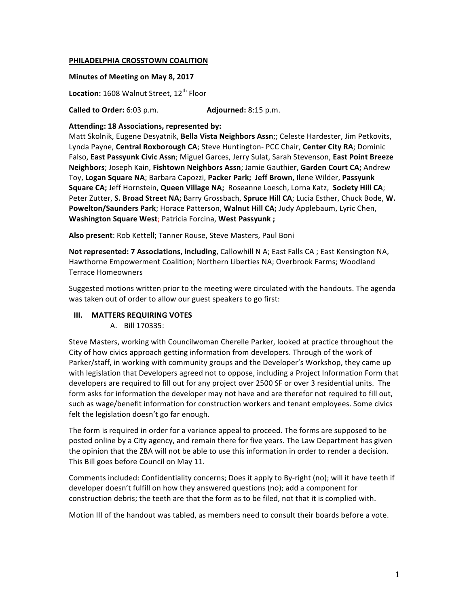#### **PHILADELPHIA CROSSTOWN COALITION**

#### **Minutes of Meeting on May 8, 2017**

Location: 1608 Walnut Street, 12<sup>th</sup> Floor

**Called to Order:** 6:03 p.m. **Adjourned:** 8:15 p.m.

#### Attending: 18 Associations, represented by:

Matt Skolnik, Eugene Desyatnik, Bella Vista Neighbors Assn;; Celeste Hardester, Jim Petkovits, Lynda Payne, Central Roxborough CA; Steve Huntington- PCC Chair, Center City RA; Dominic Falso, East Passyunk Civic Assn; Miguel Garces, Jerry Sulat, Sarah Stevenson, East Point Breeze **Neighbors**; Joseph Kain, **Fishtown Neighbors Assn**; Jamie Gauthier, Garden Court CA; Andrew Toy, Logan Square NA; Barbara Capozzi, Packer Park; Jeff Brown, Ilene Wilder, Passyunk **Square CA;** Jeff Hornstein, Queen Village NA; Roseanne Loesch, Lorna Katz, Society Hill CA; Peter Zutter, S. Broad Street NA; Barry Grossbach, Spruce Hill CA; Lucia Esther, Chuck Bode, W. **Powelton/Saunders Park**; Horace Patterson, Walnut Hill CA; Judy Applebaum, Lyric Chen, **Washington Square West**; Patricia Forcina, West Passyunk ;

Also present: Rob Kettell; Tanner Rouse, Steve Masters, Paul Boni

**Not represented: 7 Associations, including, Callowhill N A; East Falls CA ; East Kensington NA,** Hawthorne Empowerment Coalition; Northern Liberties NA; Overbrook Farms; Woodland Terrace Homeowners

Suggested motions written prior to the meeting were circulated with the handouts. The agenda was taken out of order to allow our guest speakers to go first:

#### **III.** MATTERS REQUIRING VOTES

#### A. Bill 170335:

Steve Masters, working with Councilwoman Cherelle Parker, looked at practice throughout the City of how civics approach getting information from developers. Through of the work of Parker/staff, in working with community groups and the Developer's Workshop, they came up with legislation that Developers agreed not to oppose, including a Project Information Form that developers are required to fill out for any project over 2500 SF or over 3 residential units. The form asks for information the developer may not have and are therefor not required to fill out, such as wage/benefit information for construction workers and tenant employees. Some civics felt the legislation doesn't go far enough.

The form is required in order for a variance appeal to proceed. The forms are supposed to be posted online by a City agency, and remain there for five years. The Law Department has given the opinion that the ZBA will not be able to use this information in order to render a decision. This Bill goes before Council on May 11.

Comments included: Confidentiality concerns; Does it apply to By-right (no); will it have teeth if developer doesn't fulfill on how they answered questions (no); add a component for construction debris; the teeth are that the form as to be filed, not that it is complied with.

Motion III of the handout was tabled, as members need to consult their boards before a vote.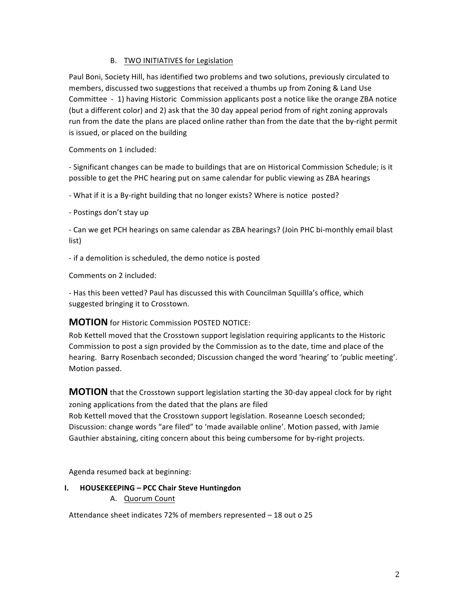# B. TWO INITIATIVES for Legislation

Paul Boni, Society Hill, has identified two problems and two solutions, previously circulated to members, discussed two suggestions that received a thumbs up from Zoning & Land Use Committee - 1) having Historic Commission applicants post a notice like the orange ZBA notice (but a different color) and 2) ask that the 30 day appeal period from of right zoning approvals run from the date the plans are placed online rather than from the date that the by-right permit is issued, or placed on the building

Comments on 1 included:

- Significant changes can be made to buildings that are on Historical Commission Schedule; is it possible to get the PHC hearing put on same calendar for public viewing as ZBA hearings

- What if it is a By-right building that no longer exists? Where is notice posted?

- Postings don't stay up

- Can we get PCH hearings on same calendar as ZBA hearings? (Join PHC bi-monthly email blast list)

- if a demolition is scheduled, the demo notice is posted

Comments on 2 included:

- Has this been vetted? Paul has discussed this with Councilman Squillla's office, which suggested bringing it to Crosstown.

# **MOTION** for Historic Commission POSTED NOTICE:

Rob Kettell moved that the Crosstown support legislation requiring applicants to the Historic Commission to post a sign provided by the Commission as to the date, time and place of the hearing. Barry Rosenbach seconded; Discussion changed the word 'hearing' to 'public meeting'. Motion passed.

**MOTION** that the Crosstown support legislation starting the 30-day appeal clock for by right zoning applications from the dated that the plans are filed Rob Kettell moved that the Crosstown support legislation. Roseanne Loesch seconded; Discussion: change words "are filed" to 'made available online'. Motion passed, with Jamie Gauthier abstaining, citing concern about this being cumbersome for by-right projects.

Agenda resumed back at beginning:

**I. HOUSEKEEPING – PCC Chair Steve Huntingdon** A. Quorum Count

Attendance sheet indicates 72% of members represented  $-18$  out o 25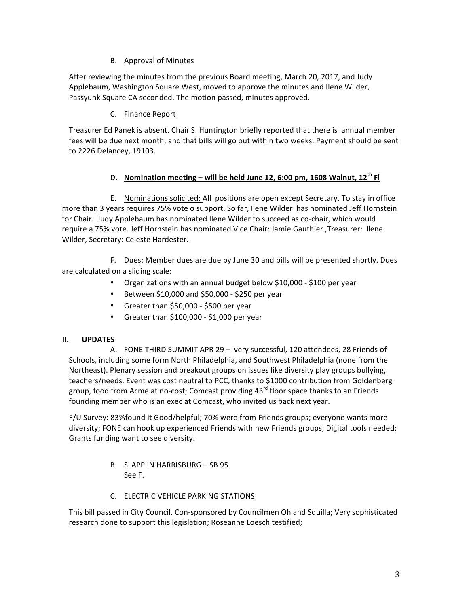# B. Approval of Minutes

After reviewing the minutes from the previous Board meeting, March 20, 2017, and Judy Applebaum, Washington Square West, moved to approve the minutes and Ilene Wilder, Passyunk Square CA seconded. The motion passed, minutes approved.

### C. Finance Report

Treasurer Ed Panek is absent. Chair S. Huntington briefly reported that there is annual member fees will be due next month, and that bills will go out within two weeks. Payment should be sent to 2226 Delancey, 19103.

### D. Nomination meeting – will be held June 12, 6:00 pm, 1608 Walnut, 12<sup>th</sup> Fl

E. Nominations solicited: All positions are open except Secretary. To stay in office more than 3 years requires 75% vote o support. So far, Ilene Wilder has nominated Jeff Hornstein for Chair. Judy Applebaum has nominated Ilene Wilder to succeed as co-chair, which would require a 75% vote. Jeff Hornstein has nominated Vice Chair: Jamie Gauthier ,Treasurer: Ilene Wilder, Secretary: Celeste Hardester.

F. Dues: Member dues are due by June 30 and bills will be presented shortly. Dues are calculated on a sliding scale:

- Organizations with an annual budget below \$10,000 \$100 per year
- $\bullet$  Between \$10,000 and \$50,000 \$250 per year
- Greater than \$50,000 \$500 per year
- Greater than  $$100,000 $1,000$  per year

# **II. UPDATES**

A. FONE THIRD SUMMIT APR 29 - very successful, 120 attendees, 28 Friends of Schools, including some form North Philadelphia, and Southwest Philadelphia (none from the Northeast). Plenary session and breakout groups on issues like diversity play groups bullying, teachers/needs. Event was cost neutral to PCC, thanks to \$1000 contribution from Goldenberg group, food from Acme at no-cost; Comcast providing  $43^{\text{rd}}$  floor space thanks to an Friends founding member who is an exec at Comcast, who invited us back next year.

F/U Survey: 83%found it Good/helpful; 70% were from Friends groups; everyone wants more diversity; FONE can hook up experienced Friends with new Friends groups; Digital tools needed; Grants funding want to see diversity.

### B. SLAPP IN HARRISBURG - SB 95 See F.

# C. ELECTRIC VEHICLE PARKING STATIONS

This bill passed in City Council. Con-sponsored by Councilmen Oh and Squilla; Very sophisticated research done to support this legislation; Roseanne Loesch testified;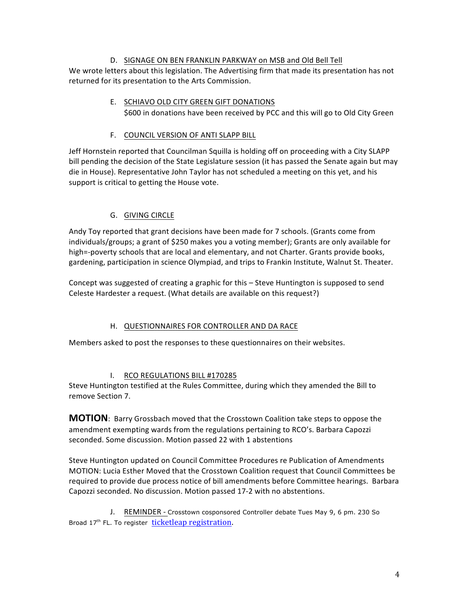### D. SIGNAGE ON BEN FRANKLIN PARKWAY on MSB and Old Bell Tell

We wrote letters about this legislation. The Advertising firm that made its presentation has not returned for its presentation to the Arts Commission.

> E. SCHIAVO OLD CITY GREEN GIFT DONATIONS \$600 in donations have been received by PCC and this will go to Old City Green

# F. COUNCIL VERSION OF ANTI SLAPP BILL

Jeff Hornstein reported that Councilman Squilla is holding off on proceeding with a City SLAPP bill pending the decision of the State Legislature session (it has passed the Senate again but may die in House). Representative John Taylor has not scheduled a meeting on this yet, and his support is critical to getting the House vote.

# **G.** GIVING CIRCLE

Andy Toy reported that grant decisions have been made for 7 schools. (Grants come from individuals/groups; a grant of \$250 makes you a voting member); Grants are only available for high=-poverty schools that are local and elementary, and not Charter. Grants provide books, gardening, participation in science Olympiad, and trips to Frankin Institute, Walnut St. Theater.

Concept was suggested of creating a graphic for this – Steve Huntington is supposed to send Celeste Hardester a request. (What details are available on this request?)

# H. QUESTIONNAIRES FOR CONTROLLER AND DA RACE

Members asked to post the responses to these questionnaires on their websites.

# I. RCO REGULATIONS BILL #170285

Steve Huntington testified at the Rules Committee, during which they amended the Bill to remove Section 7.

**MOTION**: Barry Grossbach moved that the Crosstown Coalition take steps to oppose the amendment exempting wards from the regulations pertaining to RCO's. Barbara Capozzi seconded. Some discussion. Motion passed 22 with 1 abstentions

Steve Huntington updated on Council Committee Procedures re Publication of Amendments MOTION: Lucia Esther Moved that the Crosstown Coalition request that Council Committees be required to provide due process notice of bill amendments before Committee hearings. Barbara Capozzi seconded. No discussion. Motion passed 17-2 with no abstentions.

J. REMINDER - Crosstown cosponsored Controller debate Tues May 9, 6 pm. 230 So Broad 17<sup>th</sup> FL. To register ticketleap registration.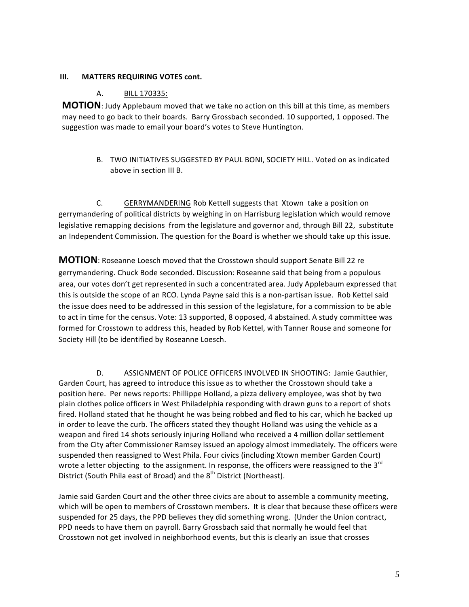#### **III.** MATTERS REQUIRING VOTES cont.

#### A. **BILL 170335:**

**MOTION**: Judy Applebaum moved that we take no action on this bill at this time, as members may need to go back to their boards. Barry Grossbach seconded. 10 supported, 1 opposed. The suggestion was made to email your board's votes to Steve Huntington.

> B. TWO INITIATIVES SUGGESTED BY PAUL BONI, SOCIETY HILL. Voted on as indicated above in section III B.

C. GERRYMANDERING Rob Kettell suggests that Xtown take a position on gerrymandering of political districts by weighing in on Harrisburg legislation which would remove legislative remapping decisions from the legislature and governor and, through Bill 22, substitute an Independent Commission. The question for the Board is whether we should take up this issue.

**MOTION**: Roseanne Loesch moved that the Crosstown should support Senate Bill 22 re gerrymandering. Chuck Bode seconded. Discussion: Roseanne said that being from a populous area, our votes don't get represented in such a concentrated area. Judy Applebaum expressed that this is outside the scope of an RCO. Lynda Payne said this is a non-partisan issue. Rob Kettel said the issue does need to be addressed in this session of the legislature, for a commission to be able to act in time for the census. Vote: 13 supported, 8 opposed, 4 abstained. A study committee was formed for Crosstown to address this, headed by Rob Kettel, with Tanner Rouse and someone for Society Hill (to be identified by Roseanne Loesch.

D. ASSIGNMENT OF POLICE OFFICERS INVOLVED IN SHOOTING: Jamie Gauthier, Garden Court, has agreed to introduce this issue as to whether the Crosstown should take a position here. Per news reports: Phillippe Holland, a pizza delivery employee, was shot by two plain clothes police officers in West Philadelphia responding with drawn guns to a report of shots fired. Holland stated that he thought he was being robbed and fled to his car, which he backed up in order to leave the curb. The officers stated they thought Holland was using the vehicle as a weapon and fired 14 shots seriously injuring Holland who received a 4 million dollar settlement from the City after Commissioner Ramsey issued an apology almost immediately. The officers were suspended then reassigned to West Phila. Four civics (including Xtown member Garden Court) wrote a letter objecting to the assignment. In response, the officers were reassigned to the  $3^{rd}$ District (South Phila east of Broad) and the 8<sup>th</sup> District (Northeast).

Jamie said Garden Court and the other three civics are about to assemble a community meeting, which will be open to members of Crosstown members. It is clear that because these officers were suspended for 25 days, the PPD believes they did something wrong. (Under the Union contract, PPD needs to have them on payroll. Barry Grossbach said that normally he would feel that Crosstown not get involved in neighborhood events, but this is clearly an issue that crosses